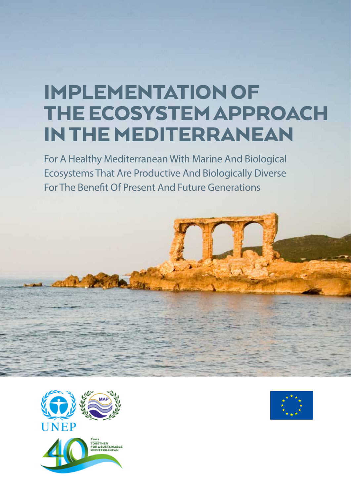# Implementation of the Ecosystem Approach in the Mediterranean

For A Healthy Mediterranean With Marine And Biological Ecosystems That Are Productive And Biologically Diverse For The Benefit Of Present And Future Generations





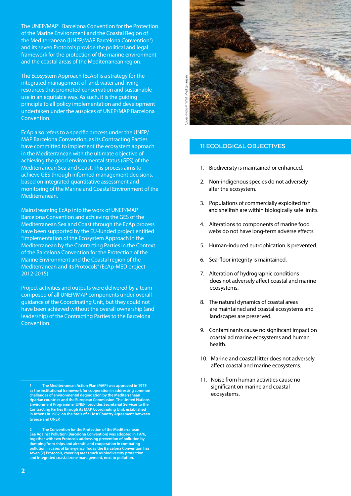The UNEP/MAP<sup>1</sup> Barcelona Convention for the Protection of the Marine Environment and the Coastal Region of the Mediterranean (UNEP/MAP Barcelona Convention<sup>2</sup>) and its seven Protocols provide the political and legal framework for the protection of the marine environment and the coastal areas of the Mediterranean region.

The Ecosystem Approach (EcAp) is a strategy for the integrated management of land, water and living resources that promoted conservation and sustainable use in an equitable way. As such, it is the guiding principle to all policy implementation and development undertaken under the auspices of UNEP/MAP Barcelona Convention.

EcAp also refers to a specific process under the UNEP/ MAP Barcelona Convention, as its Contracting Parties have committed to implement the ecosystem approach in the Mediterranean with the ultimate objective of achieving the good environmental status (GES) of the Mediterranean Sea and Coast. This process aims to achieve GES through informed management decisions, based on integrated quantitative assessment and monitoring of the Marine and Coastal Environment of the Mediterranean.

Mainstreaming EcAp into the work of UNEP/MAP Barcelona Convention and achieving the GES of the Mediterranean Sea and Coast through the EcAp process have been supported by the EU-funded project entitled "Implementation of the Ecosystem Approach in the Mediterranean by the Contracting Parties in the Context of the Barcelona Convention for the Protection of the Marine Environment and the Coastal region of the Mediterranean and its Protocols" (EcAp-MED project 2012-2015).

Project activities and outputs were delivered by a team composed of all UNEP/MAP components under overall guidance of the Coordinating Unit, but they could not have been achieved without the overall ownership (and leadership) of the Contracting Parties to the Barcelona Convention.



# **11 ECOLOGICAL OBJECTIVES**

- 1. Biodiversity is maintained or enhanced.
- 2. Non-indigenous species do not adversely alter the ecosystem.
- 3. Populations of commercially exploited fish and shellfish are within biologically safe limits.
- 4. Alterations to components of marine food webs do not have long-term adverse effects.
- 5. Human-induced eutrophication is prevented.
- 6. Sea-floor integrity is maintained.
- 7. Alteration of hydrographic conditions does not adversely affect coastal and marine ecosystems.
- 8. The natural dynamics of coastal areas are maintained and coastal ecosystems and landscapes are preserved.
- 9. Contaminants cause no significant impact on coastal ad marine ecosystems and human health.
- 10. Marine and coastal litter does not adversely affect coastal and marine ecosystems.
- 11. Noise from human activities cause no significant on marine and coastal ecosystems.

**<sup>1</sup> The Mediterranean Action Plan (MAP) was approved in 1975 as the institutional framework for cooperation in addressing common challenges of environmental degradation by the Mediterranean riparian countries and the European Commission. The United Nations Environment Programme (UNEP) provides Secretariat Services to the Contracting Parties through its MAP Coordinating Unit, established in Athens in 1982, on the basis of a Host Country Agreement between Greece and UNEP.**

**<sup>2</sup> The Convention for the Protection of the Mediterranean Sea Against Pollution (Barcelona Convention) was adopted in 1976, together with two Protocols addressing prevention of pollution by dumping from ships and aircraft, and cooperation in combating pollution in cases of Emergency. Today the Barcelona Convention has seven (7) Protocols, covering areas such as biodiversity protection and integrated coastal zone management, next to pollution.**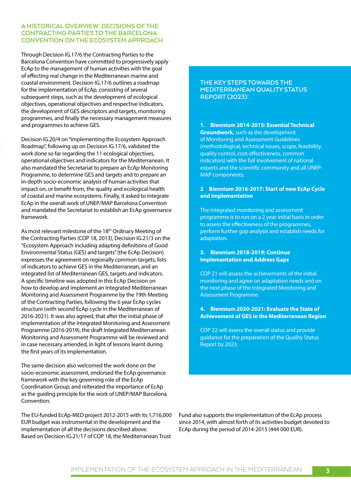## **A Historical Overview: Decisions of the Contracting Parties to the Barcelona Convention on the Ecosystem Approach**

Through Decision IG.17/6 the Contracting Parties to the Barcelona Convention have committed to progressively apply EcAp to the management of human activities with the goal of effecting real change in the Mediterranean marine and coastal environment. Decision IG.17/6 outlines a roadmap for the implementation of EcAp, consisting of several subsequent steps, such as the development of ecological objectives, operational objectives and respective indicators, the development of GES descriptors and targets, monitoring programmes, and finally the necessary management measures and programmes to achieve GES.

Decision IG.20/4 on "Implementing the Ecosystem Approach Roadmap", following up on Decision IG.17/6, validated the work done so far regarding the 11 ecological objectives, operational objectives and indicators for the Mediterranean. It also mandated the Secretariat to prepare an EcAp Monitoring Programme, to determine GES and targets and to prepare an in-depth socio-economic analysis of human activities that impact on, or benefit from, the quality and ecological health of coastal and marine ecosystems. Finally, it asked to integrate EcAp in the overall work of UNEP/MAP Barcelona Convention and mandated the Secretariat to establish an EcAp governance framework.

As most relevant milestone of the 18<sup>th</sup> Ordinary Meeting of the Contracting Parties (COP 18, 2013), Decision IG.21/3 on the "Ecosystem Approach including adapting definitions of Good Environmental Status (GES) and targets" (the EcAp Decision) expresses the agreement on regionally common targets, lists of indicators to achieve GES in the Mediterranean, and an integrated list of Mediterranean GES, targets and indicators. A specific timeline was adopted in this EcAp Decision on how to develop and implement an Integrated Mediterranean Monitoring and Assessment Programme by the 19th Meeting of the Contracting Parties, following the 6 year EcAp cycles structure (with second EcAp cycle in the Mediterranean of 2016-2021). It was also agreed, that after the initial phase of implementation of the Integrated Monitoring and Assessment Programme (2016-2019), the draft Integrated Mediterranean Monitoring and Assessment Programme will be reviewed and in case necessary amended, in light of lessons learnt during the first years of its implementation.

The same decision also welcomed the work done on the socio-economic assessment, endorsed the EcAp governance framework with the key governing role of the EcAp Coordination Group, and reiterated the importance of EcAp as the guiding principle for the work of UNEP/MAP Barcelona Convention.

The EU-funded EcAp-MED project 2012-2015 with its 1,716,000 EUR budget was instrumental in the development and the implementation of all the decisions described above. Based on Decision IG.21/17 of COP 18, the Mediterranean Trust

## **The key steps towards the Mediterranean Quality Status Report (2023):**

**1. Biennium 2014-2015: Essential Technical Groundwork,** such as the development of Monitoring and Assessment Guidelines (methodological, technical issues, scope, feasibility, quality control, cost-effectiveness, common indicators) with the full involvement of national experts and the scientific community and all UNEP-MAP components;

### **2 Biennium 2016-2017: Start of new EcAp Cycle and Implementation**

The integrated monitoring and assessment programme is to run on a 2 year initial basis in order to assess the effectiveness of the programmes, perform further gap analysis and establish needs for adaptation.

### **3. Biennium 2018-2019: Continue Implementation and Address Gaps**

COP 21 will assess the achievements of the initial monitoring and agree on adaptation needs and on the next phase of the Integrated Monitoring and Assessment Programme.

**4. Biennium 2020-2021: Evaluate the State of Achievement of GES in the Mediterranean Region**

COP 22 will assess the overall status and provide guidance for the preparation of the Quality Status Report by 2023.

Fund also supports the implementation of the EcAp process since 2014, with almost forth of its activities budget devoted to EcAp during the period of 2014-2015 (444 000 EUR).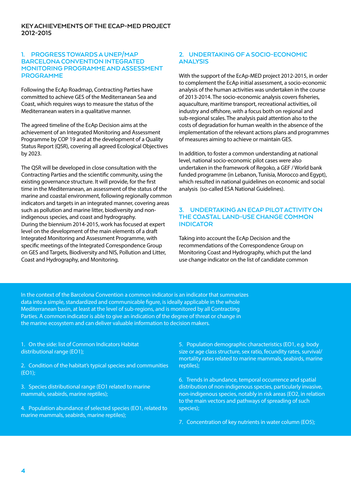## **1. Progress towardsaUNEP/MAP Barcelona Convention Integrated Monitoring Programmeand Assessment Programme**

Following the EcAp Roadmap, Contracting Parties have committed to achieve GES of the Mediterranean Sea and Coast, which requires ways to measure the status of the Mediterranean waters in a qualitative manner.

The agreed timeline of the EcAp Decision aims at the achievement of an Integrated Monitoring and Assessment Programme by COP 19 and at the development of a Quality Status Report (QSR), covering all agreed Ecological Objectives by 2023.

The QSR will be developed in close consultation with the Contracting Parties and the scientific community, using the existing governance structure. It will provide, for the first time in the Mediterranean, an assessment of the status of the marine and coastal environment, following regionally common indicators and targets in an integrated manner, covering areas such as pollution and marine litter, biodiversity and nonindigenous species, and coast and hydrography. During the biennium 2014-2015, work has focused at expert level on the development of the main elements of a draft Integrated Monitoring and Assessment Programme, with specific meetings of the Integrated Correspondence Group on GES and Targets, Biodiversity and NIS, Pollution and Litter, Coast and Hydrography, and Monitoring.

# **2. Undertaking of a Socio-economic Analysis**

With the support of the EcAp-MED project 2012-2015, in order to complement the EcAp initial assessment, a socio-economic analysis of the human activities was undertaken in the course of 2013-2014. The socio-economic analysis covers fisheries, aquaculture, maritime transport, recreational activities, oil industry and offshore, with a focus both on regional and sub-regional scales. The analysis paid attention also to the costs of degradation for human wealth in the absence of the implementation of the relevant actions plans and programmes of measures aiming to achieve or maintain GES.

In addition, to foster a common understanding at national level, national socio-economic pilot cases were also undertaken in the framework of Regoko, a GEF / World bank funded programme (in Lebanon, Tunisia, Morocco and Egypt), which resulted in national guidelines on economic and social analysis (so-called ESA National Guidelines).

## **3. Undertakingan EcAp Pilot Activity on the Coastal Land-use Change Common Indicator**

Taking into account the EcAp Decision and the recommendations of the Correspondence Group on Monitoring Coast and Hydrography, which put the land use change indicator on the list of candidate common

In the context of the Barcelona Convention a common indicator is an indicator that summarizes data into a simple, standardized and communicable figure, is ideally applicable in the whole Mediterranean basin, at least at the level of sub-regions, and is monitored by all Contracting Parties. A common indicator is able to give an indication of the degree of threat or change in the marine ecosystem and can deliver valuable information to decision makers.

1. On the side: list of Common Indicators Habitat distributional range (EO1);

2. Condition of the habitat's typical species and communities (EO1);

3. Species distributional range (EO1 related to marine mammals, seabirds, marine reptiles);

4. Population abundance of selected species (EO1, related to marine mammals, seabirds, marine reptiles);

5. Population demographic characteristics (EO1, e.g. body size or age class structure, sex ratio, fecundity rates, survival/ mortality rates related to marine mammals, seabirds, marine reptiles);

6. Trends in abundance, temporal occurrence and spatial distribution of non-indigenous species, particularly invasive, non-indigenous species, notably in risk areas (EO2, in relation to the main vectors and pathways of spreading of such species);

7. Concentration of key nutrients in water column (EO5);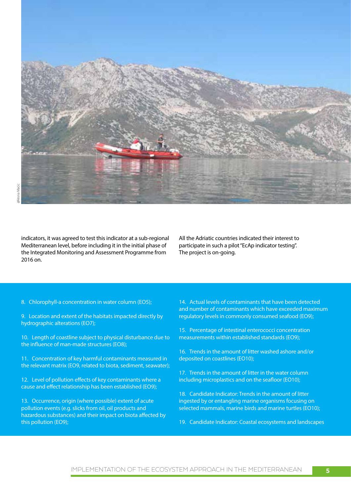

indicators, it was agreed to test this indicator at a sub-regional Mediterranean level, before including it in the initial phase of the Integrated Monitoring and Assessment Programme from 2016 on.

All the Adriatic countries indicated their interest to participate in such a pilot "EcAp indicator testing". The project is on-going.

8. Chlorophyll-a concentration in water column (EO5);

9. Location and extent of the habitats impacted directly by hydrographic alterations (EO7);

10. Length of coastline subject to physical disturbance due to the influence of man-made structures (EO8);

11. Concentration of key harmful contaminants measured in the relevant matrix (EO9, related to biota, sediment, seawater);

12. Level of pollution effects of key contaminants where a cause and effect relationship has been established (EO9);

13. Occurrence, origin (where possible) extent of acute pollution events (e.g. slicks from oil, oil products and hazardous substances) and their impact on biota affected by this pollution (EO9);

14. Actual levels of contaminants that have been detected and number of contaminants which have exceeded maximum regulatory levels in commonly consumed seafood (EO9);

15. Percentage of intestinal enterococci concentration measurements within established standards (EO9);

16. Trends in the amount of litter washed ashore and/or deposited on coastlines (EO10);

17. Trends in the amount of litter in the water column including microplastics and on the seafloor (EO10);

18. Candidate Indicator: Trends in the amount of litter ingested by or entangling marine organisms focusing on selected mammals, marine birds and marine turtles (EO10);

19. Candidate Indicator: Coastal ecosystems and landscapes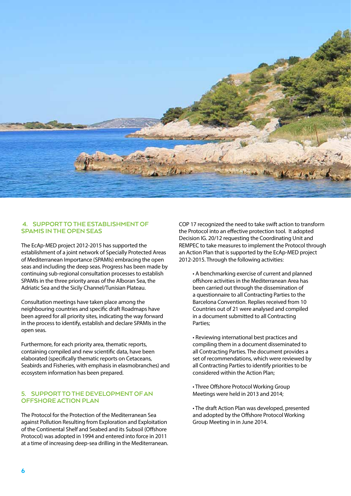

## **4. Supportto the Establishment of SPAMIs in the Open Seas**

The EcAp-MED project 2012-2015 has supported the establishment of a joint network of Specially Protected Areas of Mediterranean Importance (SPAMIs) embracing the open seas and including the deep seas. Progress has been made by continuing sub-regional consultation processes to establish SPAMIs in the three priority areas of the Alboran Sea, the Adriatic Sea and the Sicily Channel/Tunisian Plateau.

Consultation meetings have taken place among the neighbouring countries and specific draft Roadmaps have been agreed for all priority sites, indicating the way forward in the process to identify, establish and declare SPAMIs in the open seas.

Furthermore, for each priority area, thematic reports, containing compiled and new scientific data, have been elaborated (specifically thematic reports on Cetaceans, Seabirds and Fisheries, with emphasis in elasmobranches) and ecosystem information has been prepared.

### **5. Supportto the Development of an Offshore Action Plan**

The Protocol for the Protection of the Mediterranean Sea against Pollution Resulting from Exploration and Exploitation of the Continental Shelf and Seabed and its Subsoil (Offshore Protocol) was adopted in 1994 and entered into force in 2011 at a time of increasing deep-sea drilling in the Mediterranean. COP 17 recognized the need to take swift action to transform the Protocol into an effective protection tool. It adopted Decision IG. 20/12 requesting the Coordinating Unit and REMPEC to take measures to implement the Protocol through an Action Plan that is supported by the EcAp-MED project 2012-2015. Through the following activities:

• A benchmarking exercise of current and planned offshore activities in the Mediterranean Area has been carried out through the dissemination of a questionnaire to all Contracting Parties to the Barcelona Convention. Replies received from 10 Countries out of 21 were analysed and compiled in a document submitted to all Contracting Parties;

• Reviewing international best practices and compiling them in a document disseminated to all Contracting Parties. The document provides a set of recommendations, which were reviewed by all Contracting Parties to identify priorities to be considered within the Action Plan;

• Three Offshore Protocol Working Group Meetings were held in 2013 and 2014;

• The draft Action Plan was developed, presented and adopted by the Offshore Protocol Working Group Meeting in in June 2014.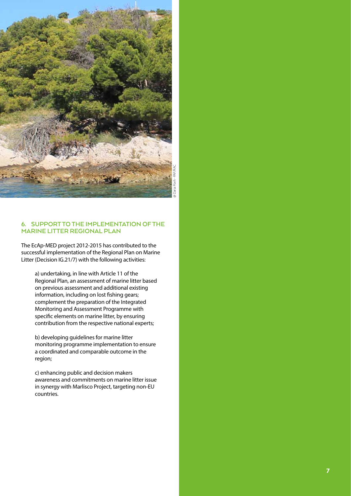

## **6. SUPPORT TO THE IMPLEMENTATION OF MARINE LITTER REGIONAL PLAN**

The EcAp-MED project 2012-2015 has contributed to the successful implementation of the Regional Plan on Marine Litter (Decision IG.21/7) with the following activities:

a) undertaking, in line with Article 11 of the Regional Plan, an assessment of marine litter based on previous assessment and additional existing information, including on lost fishing gears; complement the preparation of the Integrated Monitoring and Assessment Programme with specific elements on marine litter, by ensuring contribution from the respective national experts;

b) developing guidelines for marine litter monitoring programme implementation to ensure a coordinated and comparable outcome in the region;

c) enhancing public and decision makers awareness and commitments on marine litter issue in synergy with Marlisco Project, targeting non-EU countries.